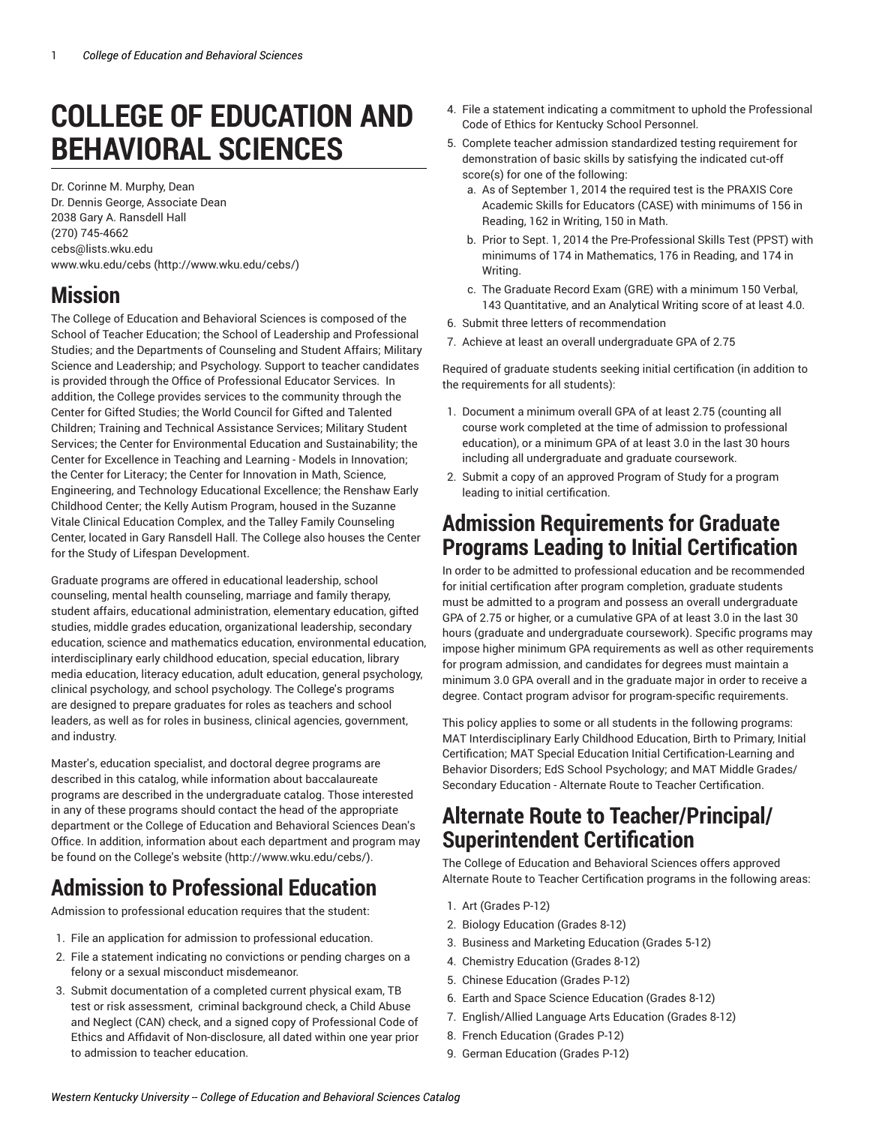# **COLLEGE OF EDUCATION AND BEHAVIORAL SCIENCES**

Dr. Corinne M. Murphy, Dean Dr. Dennis George, Associate Dean 2038 Gary A. Ransdell Hall (270) 745-4662 [cebs@lists.wku.edu](mailto:cebs@lists.wku.edu) [www.wku.edu/cebs](http://www.wku.edu/cebs/) [\(http://www.wku.edu/cebs/](http://www.wku.edu/cebs/))

## **Mission**

The College of Education and Behavioral Sciences is composed of the School of Teacher Education; the School of Leadership and Professional Studies; and the Departments of Counseling and Student Affairs; Military Science and Leadership; and Psychology. Support to teacher candidates is provided through the Office of Professional Educator Services. In addition, the College provides services to the community through the Center for Gifted Studies; the World Council for Gifted and Talented Children; Training and Technical Assistance Services; Military Student Services; the Center for Environmental Education and Sustainability; the Center for Excellence in Teaching and Learning - Models in Innovation; the Center for Literacy; the Center for Innovation in Math, Science, Engineering, and Technology Educational Excellence; the Renshaw Early Childhood Center; the Kelly Autism Program, housed in the Suzanne Vitale Clinical Education Complex, and the Talley Family Counseling Center, located in Gary Ransdell Hall. The College also houses the Center for the Study of Lifespan Development.

Graduate programs are offered in educational leadership, school counseling, mental health counseling, marriage and family therapy, student affairs, educational administration, elementary education, gifted studies, middle grades education, organizational leadership, secondary education, science and mathematics education, environmental education, interdisciplinary early childhood education, special education, library media education, literacy education, adult education, general psychology, clinical psychology, and school psychology. The College's programs are designed to prepare graduates for roles as teachers and school leaders, as well as for roles in business, clinical agencies, government, and industry.

Master's, education specialist, and doctoral degree programs are described in this catalog, while information about baccalaureate programs are described in the undergraduate catalog. Those interested in any of these programs should contact the head of the appropriate department or the College of Education and Behavioral Sciences Dean's Office. In addition, information about each department and program may be found on the [College's](http://www.wku.edu/cebs/) website (<http://www.wku.edu/cebs/>).

# **Admission to Professional Education**

Admission to professional education requires that the student:

- 1. File an application for admission to professional education.
- 2. File a statement indicating no convictions or pending charges on a felony or a sexual misconduct misdemeanor.
- 3. Submit documentation of a completed current physical exam, TB test or risk assessment, criminal background check, a Child Abuse and Neglect (CAN) check, and a signed copy of Professional Code of Ethics and Affidavit of Non-disclosure, all dated within one year prior to admission to teacher education.
- 4. File a statement indicating a commitment to uphold the Professional Code of Ethics for Kentucky School Personnel.
- 5. Complete teacher admission standardized testing requirement for demonstration of basic skills by satisfying the indicated cut-off score(s) for one of the following:
	- a. As of September 1, 2014 the required test is the PRAXIS Core Academic Skills for Educators (CASE) with minimums of 156 in Reading, 162 in Writing, 150 in Math.
	- b. Prior to Sept. 1, 2014 the Pre-Professional Skills Test (PPST) with minimums of 174 in Mathematics, 176 in Reading, and 174 in **Writing**
	- c. The Graduate Record Exam (GRE) with a minimum 150 Verbal, 143 Quantitative, and an Analytical Writing score of at least 4.0.
- 6. Submit three letters of recommendation
- 7. Achieve at least an overall undergraduate GPA of 2.75

Required of graduate students seeking initial certification (in addition to the requirements for all students):

- 1. Document a minimum overall GPA of at least 2.75 (counting all course work completed at the time of admission to professional education), or a minimum GPA of at least 3.0 in the last 30 hours including all undergraduate and graduate coursework.
- 2. Submit a copy of an approved Program of Study for a program leading to initial certification.

### **Admission Requirements for Graduate Programs Leading to Initial Certification**

In order to be admitted to professional education and be recommended for initial certification after program completion, graduate students must be admitted to a program and possess an overall undergraduate GPA of 2.75 or higher, or a cumulative GPA of at least 3.0 in the last 30 hours (graduate and undergraduate coursework). Specific programs may impose higher minimum GPA requirements as well as other requirements for program admission, and candidates for degrees must maintain a minimum 3.0 GPA overall and in the graduate major in order to receive a degree. Contact program advisor for program-specific requirements.

This policy applies to some or all students in the following programs: MAT Interdisciplinary Early Childhood Education, Birth to Primary, Initial Certification; MAT Special Education Initial Certification-Learning and Behavior Disorders; EdS School Psychology; and MAT Middle Grades/ Secondary Education - Alternate Route to Teacher Certification.

### **Alternate Route to Teacher/Principal/ Superintendent Certification**

The College of Education and Behavioral Sciences offers approved Alternate Route to Teacher Certification programs in the following areas:

- 1. Art (Grades P-12)
- 2. Biology Education (Grades 8-12)
- 3. Business and Marketing Education (Grades 5-12)
- 4. Chemistry Education (Grades 8-12)
- 5. Chinese Education (Grades P-12)
- 6. Earth and Space Science Education (Grades 8-12)
- 7. English/Allied Language Arts Education (Grades 8-12)
- 8. French Education (Grades P-12)
- 9. German Education (Grades P-12)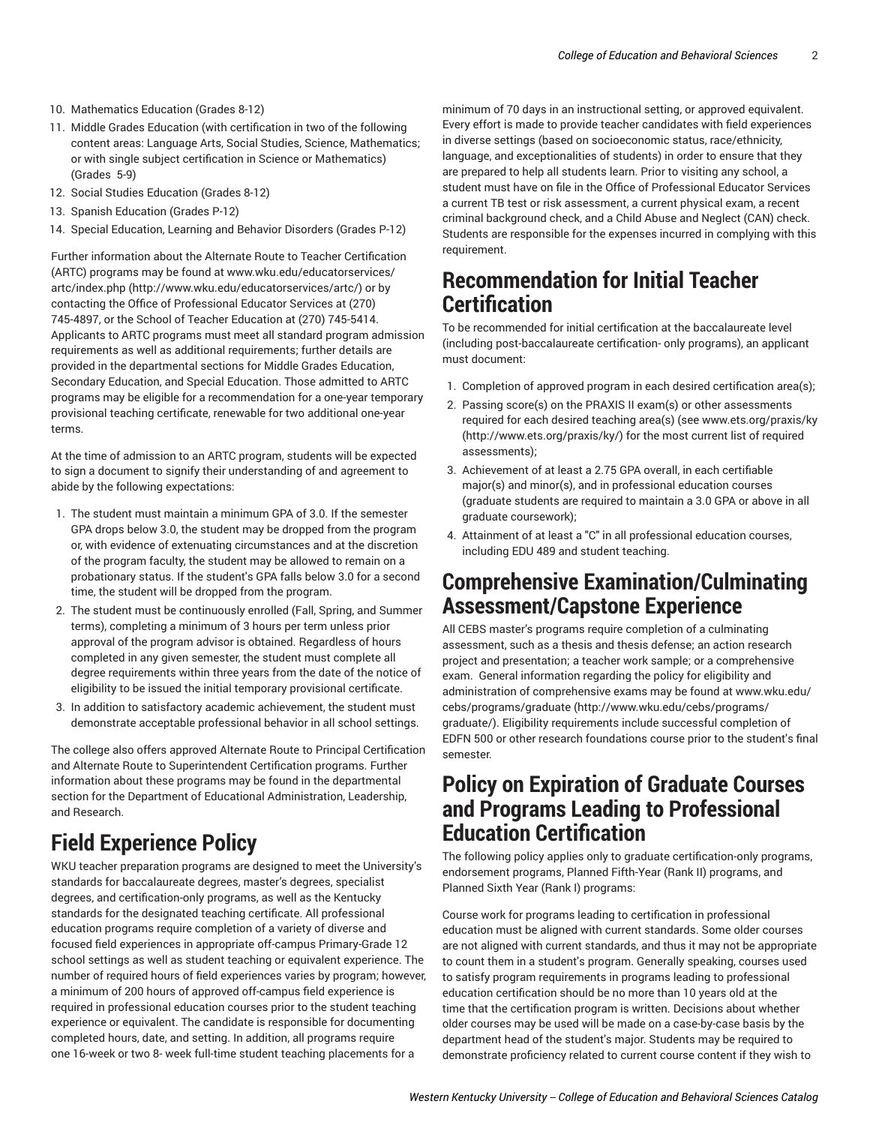- 10. Mathematics Education (Grades 8-12)
- 11. Middle Grades Education (with certification in two of the following content areas: Language Arts, Social Studies, Science, Mathematics; or with single subject certification in Science or Mathematics) (Grades 5-9)
- 12. Social Studies Education (Grades 8-12)
- 13. Spanish Education (Grades P-12)
- 14. Special Education, Learning and Behavior Disorders (Grades P-12)

Further information about the Alternate Route to Teacher Certification (ARTC) programs may be found at [www.wku.edu/educatorservices/](http://www.wku.edu/educatorservices/artc/) [artc/index.php \(http://www.wku.edu/educatorservices/artc/](http://www.wku.edu/educatorservices/artc/)) or by contacting the Office of Professional Educator Services at (270) 745-4897, or the School of Teacher Education at (270) 745-5414. Applicants to ARTC programs must meet all standard program admission requirements as well as additional requirements; further details are provided in the departmental sections for Middle Grades Education, Secondary Education, and Special Education. Those admitted to ARTC programs may be eligible for a recommendation for a one-year temporary provisional teaching certificate, renewable for two additional one-year terms.

At the time of admission to an ARTC program, students will be expected to sign a document to signify their understanding of and agreement to abide by the following expectations:

- 1. The student must maintain a minimum GPA of 3.0. If the semester GPA drops below 3.0, the student may be dropped from the program or, with evidence of extenuating circumstances and at the discretion of the program faculty, the student may be allowed to remain on a probationary status. If the student's GPA falls below 3.0 for a second time, the student will be dropped from the program.
- 2. The student must be continuously enrolled (Fall, Spring, and Summer terms), completing a minimum of 3 hours per term unless prior approval of the program advisor is obtained. Regardless of hours completed in any given semester, the student must complete all degree requirements within three years from the date of the notice of eligibility to be issued the initial temporary provisional certificate.
- 3. In addition to satisfactory academic achievement, the student must demonstrate acceptable professional behavior in all school settings.

The college also offers approved Alternate Route to Principal Certification and Alternate Route to Superintendent Certification programs. Further information about these programs may be found in the departmental section for the Department of Educational Administration, Leadership, and Research.

### **Field Experience Policy**

WKU teacher preparation programs are designed to meet the University's standards for baccalaureate degrees, master's degrees, specialist degrees, and certification-only programs, as well as the Kentucky standards for the designated teaching certificate. All professional education programs require completion of a variety of diverse and focused field experiences in appropriate off-campus Primary-Grade 12 school settings as well as student teaching or equivalent experience. The number of required hours of field experiences varies by program; however, a minimum of 200 hours of approved off-campus field experience is required in professional education courses prior to the student teaching experience or equivalent. The candidate is responsible for documenting completed hours, date, and setting. In addition, all programs require one 16-week or two 8- week full-time student teaching placements for a

minimum of 70 days in an instructional setting, or approved equivalent. Every effort is made to provide teacher candidates with field experiences in diverse settings (based on socioeconomic status, race/ethnicity, language, and exceptionalities of students) in order to ensure that they are prepared to help all students learn. Prior to visiting any school, a student must have on file in the Office of Professional Educator Services a current TB test or risk assessment, a current physical exam, a recent criminal background check, and a Child Abuse and Neglect (CAN) check. Students are responsible for the expenses incurred in complying with this requirement.

#### **Recommendation for Initial Teacher Certification**

To be recommended for initial certification at the baccalaureate level (including post-baccalaureate certification- only programs), an applicant must document:

- 1. Completion of approved program in each desired certification area(s);
- 2. Passing score(s) on the PRAXIS II exam(s) or other assessments required for each desired teaching area(s) (see [www.ets.org/praxis/ky](http://www.ets.org/praxis/ky/) [\(http://www.ets.org/praxis/ky/](http://www.ets.org/praxis/ky/)) for the most current list of required assessments);
- 3. Achievement of at least a 2.75 GPA overall, in each certifiable major(s) and minor(s), and in professional education courses (graduate students are required to maintain a 3.0 GPA or above in all graduate coursework);
- 4. Attainment of at least a "C" in all professional education courses, including EDU 489 and student teaching.

#### **Comprehensive Examination/Culminating Assessment/Capstone Experience**

All CEBS master's programs require completion of a culminating assessment, such as a thesis and thesis defense; an action research project and presentation; a teacher work sample; or a comprehensive exam. General information regarding the policy for eligibility and administration of comprehensive exams may be found at [www.wku.edu/](http://www.wku.edu/cebs/programs/graduate/) [cebs/programs/graduate](http://www.wku.edu/cebs/programs/graduate/) ([http://www.wku.edu/cebs/programs/](http://www.wku.edu/cebs/programs/graduate/) [graduate/\)](http://www.wku.edu/cebs/programs/graduate/). Eligibility requirements include successful completion of EDFN 500 or other research foundations course prior to the student's final semester.

#### **Policy on Expiration of Graduate Courses and Programs Leading to Professional Education Certification**

The following policy applies only to graduate certification-only programs, endorsement programs, Planned Fifth-Year (Rank II) programs, and Planned Sixth Year (Rank I) programs:

Course work for programs leading to certification in professional education must be aligned with current standards. Some older courses are not aligned with current standards, and thus it may not be appropriate to count them in a student's program. Generally speaking, courses used to satisfy program requirements in programs leading to professional education certification should be no more than 10 years old at the time that the certification program is written. Decisions about whether older courses may be used will be made on a case-by-case basis by the department head of the student's major. Students may be required to demonstrate proficiency related to current course content if they wish to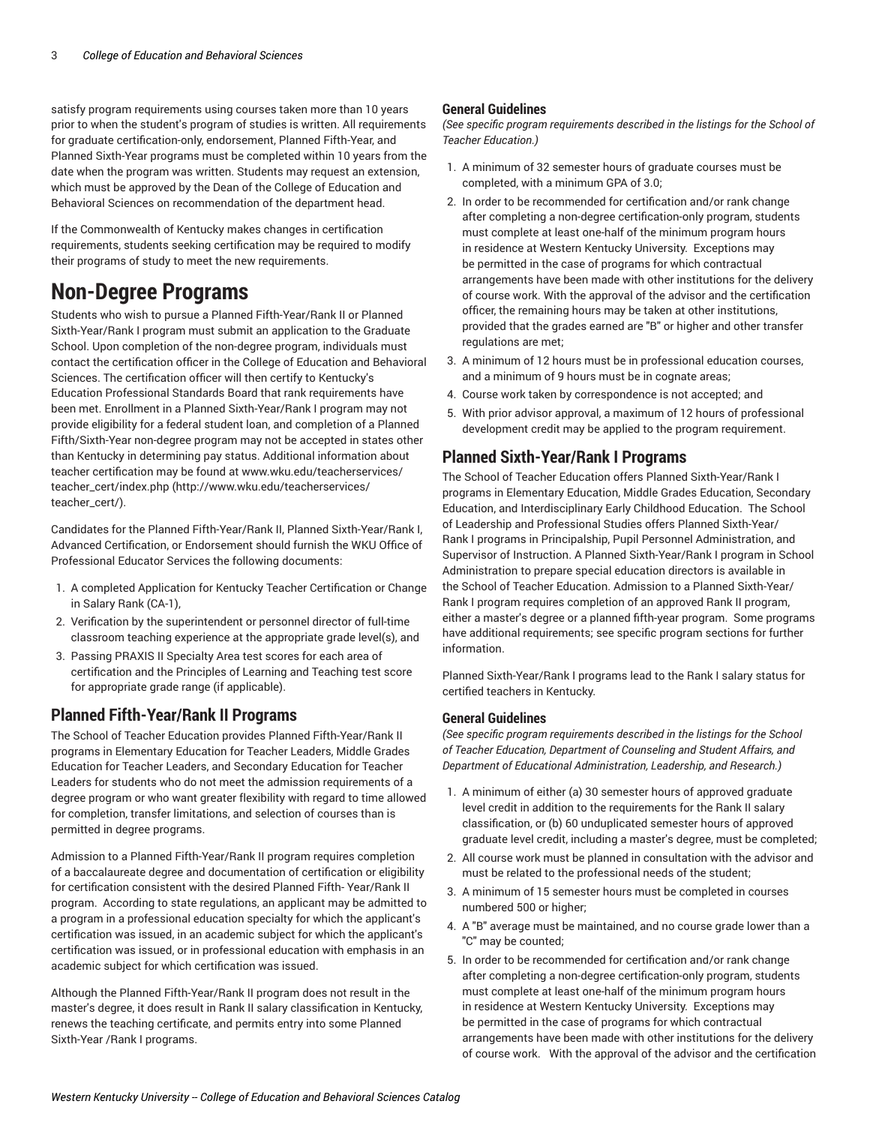satisfy program requirements using courses taken more than 10 years prior to when the student's program of studies is written. All requirements for graduate certification-only, endorsement, Planned Fifth-Year, and Planned Sixth-Year programs must be completed within 10 years from the date when the program was written. Students may request an extension, which must be approved by the Dean of the College of Education and Behavioral Sciences on recommendation of the department head.

If the Commonwealth of Kentucky makes changes in certification requirements, students seeking certification may be required to modify their programs of study to meet the new requirements.

### **Non-Degree Programs**

Students who wish to pursue a Planned Fifth-Year/Rank II or Planned Sixth-Year/Rank I program must submit an application to the Graduate School. Upon completion of the non-degree program, individuals must contact the certification officer in the College of Education and Behavioral Sciences. The certification officer will then certify to Kentucky's Education Professional Standards Board that rank requirements have been met. Enrollment in a Planned Sixth-Year/Rank I program may not provide eligibility for a federal student loan, and completion of a Planned Fifth/Sixth-Year non-degree program may not be accepted in states other than Kentucky in determining pay status. Additional information about teacher certification may be found at [www.wku.edu/teacherservices/](http://www.wku.edu/teacherservices/teacher_cert/) [teacher\\_cert/index.php](http://www.wku.edu/teacherservices/teacher_cert/) ([http://www.wku.edu/teacherservices/](http://www.wku.edu/teacherservices/teacher_cert/) [teacher\\_cert/](http://www.wku.edu/teacherservices/teacher_cert/)).

Candidates for the Planned Fifth-Year/Rank II, Planned Sixth-Year/Rank I, Advanced Certification, or Endorsement should furnish the WKU Office of Professional Educator Services the following documents:

- 1. A completed Application for Kentucky Teacher Certification or Change in Salary Rank (CA-1),
- 2. Verification by the superintendent or personnel director of full-time classroom teaching experience at the appropriate grade level(s), and
- 3. Passing PRAXIS II Specialty Area test scores for each area of certification and the Principles of Learning and Teaching test score for appropriate grade range (if applicable).

#### **Planned Fifth-Year/Rank II Programs**

The School of Teacher Education provides Planned Fifth-Year/Rank II programs in Elementary Education for Teacher Leaders, Middle Grades Education for Teacher Leaders, and Secondary Education for Teacher Leaders for students who do not meet the admission requirements of a degree program or who want greater flexibility with regard to time allowed for completion, transfer limitations, and selection of courses than is permitted in degree programs.

Admission to a Planned Fifth-Year/Rank II program requires completion of a baccalaureate degree and documentation of certification or eligibility for certification consistent with the desired Planned Fifth- Year/Rank II program. According to state regulations, an applicant may be admitted to a program in a professional education specialty for which the applicant's certification was issued, in an academic subject for which the applicant's certification was issued, or in professional education with emphasis in an academic subject for which certification was issued.

Although the Planned Fifth-Year/Rank II program does not result in the master's degree, it does result in Rank II salary classification in Kentucky, renews the teaching certificate, and permits entry into some Planned Sixth-Year /Rank I programs.

#### **General Guidelines**

*(See specific program requirements described in the listings for the School of Teacher Education.)*

- 1. A minimum of 32 semester hours of graduate courses must be completed, with a minimum GPA of 3.0;
- 2. In order to be recommended for certification and/or rank change after completing a non-degree certification-only program, students must complete at least one-half of the minimum program hours in residence at Western Kentucky University. Exceptions may be permitted in the case of programs for which contractual arrangements have been made with other institutions for the delivery of course work. With the approval of the advisor and the certification officer, the remaining hours may be taken at other institutions, provided that the grades earned are "B" or higher and other transfer regulations are met;
- 3. A minimum of 12 hours must be in professional education courses, and a minimum of 9 hours must be in cognate areas;
- 4. Course work taken by correspondence is not accepted; and
- 5. With prior advisor approval, a maximum of 12 hours of professional development credit may be applied to the program requirement.

#### **Planned Sixth-Year/Rank I Programs**

The School of Teacher Education offers Planned Sixth-Year/Rank I programs in Elementary Education, Middle Grades Education, Secondary Education, and Interdisciplinary Early Childhood Education. The School of Leadership and Professional Studies offers Planned Sixth-Year/ Rank I programs in Principalship, Pupil Personnel Administration, and Supervisor of Instruction. A Planned Sixth-Year/Rank I program in School Administration to prepare special education directors is available in the School of Teacher Education. Admission to a Planned Sixth-Year/ Rank I program requires completion of an approved Rank II program, either a master's degree or a planned fifth-year program. Some programs have additional requirements; see specific program sections for further information.

Planned Sixth-Year/Rank I programs lead to the Rank I salary status for certified teachers in Kentucky.

#### **General Guidelines**

*(See specific program requirements described in the listings for the School of Teacher Education, Department of Counseling and Student Affairs, and Department of Educational Administration, Leadership, and Research.)*

- 1. A minimum of either (a) 30 semester hours of approved graduate level credit in addition to the requirements for the Rank II salary classification, or (b) 60 unduplicated semester hours of approved graduate level credit, including a master's degree, must be completed;
- 2. All course work must be planned in consultation with the advisor and must be related to the professional needs of the student;
- 3. A minimum of 15 semester hours must be completed in courses numbered 500 or higher;
- 4. A "B" average must be maintained, and no course grade lower than a "C" may be counted;
- 5. In order to be recommended for certification and/or rank change after completing a non-degree certification-only program, students must complete at least one-half of the minimum program hours in residence at Western Kentucky University. Exceptions may be permitted in the case of programs for which contractual arrangements have been made with other institutions for the delivery of course work. With the approval of the advisor and the certification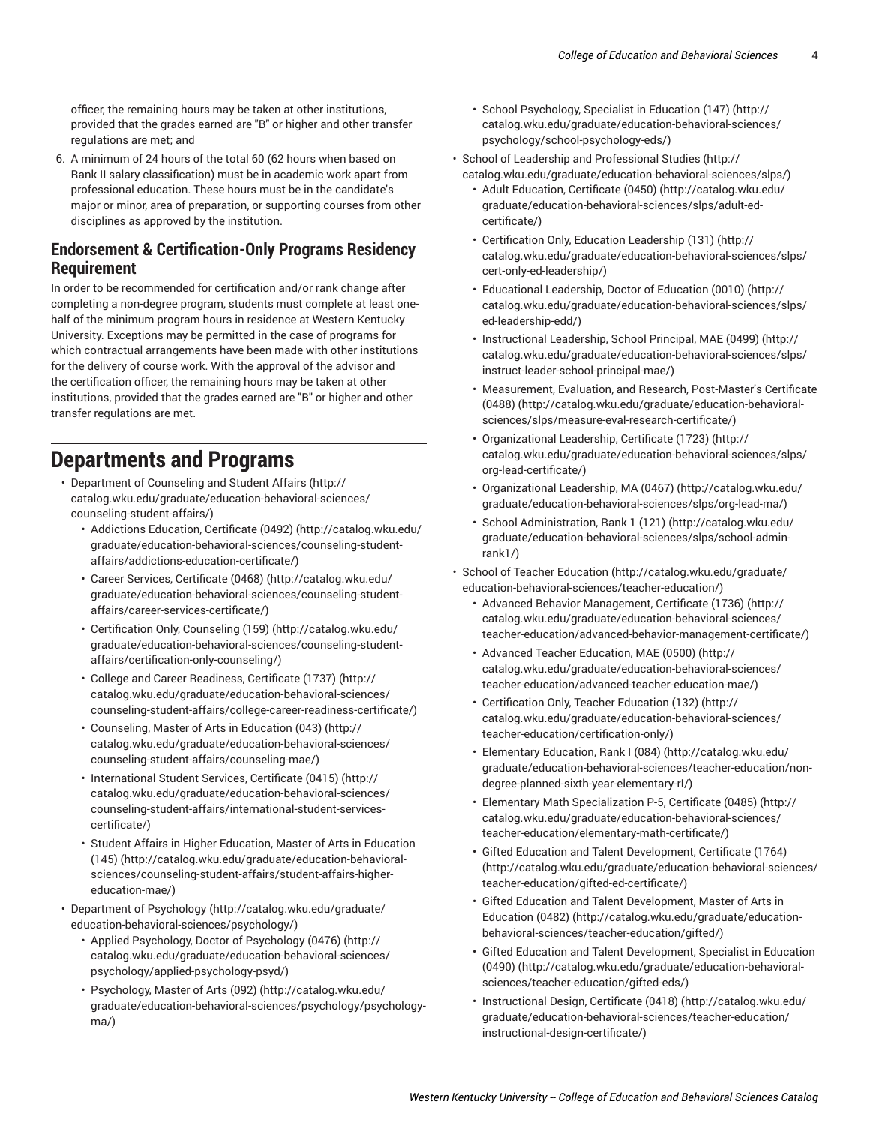officer, the remaining hours may be taken at other institutions, provided that the grades earned are "B" or higher and other transfer regulations are met; and

6. A minimum of 24 hours of the total 60 (62 hours when based on Rank II salary classification) must be in academic work apart from professional education. These hours must be in the candidate's major or minor, area of preparation, or supporting courses from other disciplines as approved by the institution.

#### **Endorsement & Certification-Only Programs Residency Requirement**

In order to be recommended for certification and/or rank change after completing a non-degree program, students must complete at least onehalf of the minimum program hours in residence at Western Kentucky University. Exceptions may be permitted in the case of programs for which contractual arrangements have been made with other institutions for the delivery of course work. With the approval of the advisor and the certification officer, the remaining hours may be taken at other institutions, provided that the grades earned are "B" or higher and other transfer regulations are met.

### **Departments and Programs**

- [Department](http://catalog.wku.edu/graduate/education-behavioral-sciences/counseling-student-affairs/) of Counseling and Student Affairs [\(http://](http://catalog.wku.edu/graduate/education-behavioral-sciences/counseling-student-affairs/) [catalog.wku.edu/graduate/education-behavioral-sciences/](http://catalog.wku.edu/graduate/education-behavioral-sciences/counseling-student-affairs/) [counseling-student-affairs/\)](http://catalog.wku.edu/graduate/education-behavioral-sciences/counseling-student-affairs/)
	- [Addictions](http://catalog.wku.edu/graduate/education-behavioral-sciences/counseling-student-affairs/addictions-education-certificate/) Education, Certificate (0492) [\(http://catalog.wku.edu/](http://catalog.wku.edu/graduate/education-behavioral-sciences/counseling-student-affairs/addictions-education-certificate/) [graduate/education-behavioral-sciences/counseling-student](http://catalog.wku.edu/graduate/education-behavioral-sciences/counseling-student-affairs/addictions-education-certificate/)[affairs/addictions-education-certificate/\)](http://catalog.wku.edu/graduate/education-behavioral-sciences/counseling-student-affairs/addictions-education-certificate/)
	- Career Services, [Certificate](http://catalog.wku.edu/graduate/education-behavioral-sciences/counseling-student-affairs/career-services-certificate/) (0468) [\(http://catalog.wku.edu/](http://catalog.wku.edu/graduate/education-behavioral-sciences/counseling-student-affairs/career-services-certificate/) [graduate/education-behavioral-sciences/counseling-student](http://catalog.wku.edu/graduate/education-behavioral-sciences/counseling-student-affairs/career-services-certificate/)[affairs/career-services-certificate/\)](http://catalog.wku.edu/graduate/education-behavioral-sciences/counseling-student-affairs/career-services-certificate/)
	- [Certification](http://catalog.wku.edu/graduate/education-behavioral-sciences/counseling-student-affairs/certification-only-counseling/) Only, Counseling (159) [\(http://catalog.wku.edu/](http://catalog.wku.edu/graduate/education-behavioral-sciences/counseling-student-affairs/certification-only-counseling/) [graduate/education-behavioral-sciences/counseling-student](http://catalog.wku.edu/graduate/education-behavioral-sciences/counseling-student-affairs/certification-only-counseling/)[affairs/certification-only-counseling/\)](http://catalog.wku.edu/graduate/education-behavioral-sciences/counseling-student-affairs/certification-only-counseling/)
	- College and Career [Readiness,](http://catalog.wku.edu/graduate/education-behavioral-sciences/counseling-student-affairs/college-career-readiness-certificate/) Certificate (1737) [\(http://](http://catalog.wku.edu/graduate/education-behavioral-sciences/counseling-student-affairs/college-career-readiness-certificate/) [catalog.wku.edu/graduate/education-behavioral-sciences/](http://catalog.wku.edu/graduate/education-behavioral-sciences/counseling-student-affairs/college-career-readiness-certificate/) [counseling-student-affairs/college-career-readiness-certificate/](http://catalog.wku.edu/graduate/education-behavioral-sciences/counseling-student-affairs/college-career-readiness-certificate/))
	- [Counseling,](http://catalog.wku.edu/graduate/education-behavioral-sciences/counseling-student-affairs/counseling-mae/) Master of Arts in Education (043) [\(http://](http://catalog.wku.edu/graduate/education-behavioral-sciences/counseling-student-affairs/counseling-mae/) [catalog.wku.edu/graduate/education-behavioral-sciences/](http://catalog.wku.edu/graduate/education-behavioral-sciences/counseling-student-affairs/counseling-mae/) [counseling-student-affairs/counseling-mae/](http://catalog.wku.edu/graduate/education-behavioral-sciences/counseling-student-affairs/counseling-mae/))
	- [International](http://catalog.wku.edu/graduate/education-behavioral-sciences/counseling-student-affairs/international-student-services-certificate/) Student Services, Certificate (0415) [\(http://](http://catalog.wku.edu/graduate/education-behavioral-sciences/counseling-student-affairs/international-student-services-certificate/) [catalog.wku.edu/graduate/education-behavioral-sciences/](http://catalog.wku.edu/graduate/education-behavioral-sciences/counseling-student-affairs/international-student-services-certificate/) [counseling-student-affairs/international-student-services](http://catalog.wku.edu/graduate/education-behavioral-sciences/counseling-student-affairs/international-student-services-certificate/)[certificate/](http://catalog.wku.edu/graduate/education-behavioral-sciences/counseling-student-affairs/international-student-services-certificate/))
	- Student Affairs in Higher [Education,](http://catalog.wku.edu/graduate/education-behavioral-sciences/counseling-student-affairs/student-affairs-higher-education-mae/) Master of Arts in Education [\(145\) \(http://catalog.wku.edu/graduate/education-behavioral](http://catalog.wku.edu/graduate/education-behavioral-sciences/counseling-student-affairs/student-affairs-higher-education-mae/)[sciences/counseling-student-affairs/student-affairs-higher](http://catalog.wku.edu/graduate/education-behavioral-sciences/counseling-student-affairs/student-affairs-higher-education-mae/)[education-mae/\)](http://catalog.wku.edu/graduate/education-behavioral-sciences/counseling-student-affairs/student-affairs-higher-education-mae/)
- [Department](http://catalog.wku.edu/graduate/education-behavioral-sciences/psychology/) of Psychology [\(http://catalog.wku.edu/graduate/](http://catalog.wku.edu/graduate/education-behavioral-sciences/psychology/) [education-behavioral-sciences/psychology/](http://catalog.wku.edu/graduate/education-behavioral-sciences/psychology/))
	- Applied [Psychology,](http://catalog.wku.edu/graduate/education-behavioral-sciences/psychology/applied-psychology-psyd/) Doctor of Psychology (0476) ([http://](http://catalog.wku.edu/graduate/education-behavioral-sciences/psychology/applied-psychology-psyd/) [catalog.wku.edu/graduate/education-behavioral-sciences/](http://catalog.wku.edu/graduate/education-behavioral-sciences/psychology/applied-psychology-psyd/) [psychology/applied-psychology-psyd/\)](http://catalog.wku.edu/graduate/education-behavioral-sciences/psychology/applied-psychology-psyd/)
	- [Psychology,](http://catalog.wku.edu/graduate/education-behavioral-sciences/psychology/psychology-ma/) Master of Arts (092) ([http://catalog.wku.edu/](http://catalog.wku.edu/graduate/education-behavioral-sciences/psychology/psychology-ma/) [graduate/education-behavioral-sciences/psychology/psychology](http://catalog.wku.edu/graduate/education-behavioral-sciences/psychology/psychology-ma/)[ma/\)](http://catalog.wku.edu/graduate/education-behavioral-sciences/psychology/psychology-ma/)
- School [Psychology,](http://catalog.wku.edu/graduate/education-behavioral-sciences/psychology/school-psychology-eds/) Specialist in Education (147) [\(http://](http://catalog.wku.edu/graduate/education-behavioral-sciences/psychology/school-psychology-eds/) [catalog.wku.edu/graduate/education-behavioral-sciences/](http://catalog.wku.edu/graduate/education-behavioral-sciences/psychology/school-psychology-eds/) [psychology/school-psychology-eds/\)](http://catalog.wku.edu/graduate/education-behavioral-sciences/psychology/school-psychology-eds/)
- School of Leadership and [Professional](http://catalog.wku.edu/graduate/education-behavioral-sciences/slps/) Studies ([http://](http://catalog.wku.edu/graduate/education-behavioral-sciences/slps/) [catalog.wku.edu/graduate/education-behavioral-sciences/slps/](http://catalog.wku.edu/graduate/education-behavioral-sciences/slps/))
	- Adult [Education,](http://catalog.wku.edu/graduate/education-behavioral-sciences/slps/adult-ed-certificate/) Certificate (0450) [\(http://catalog.wku.edu/](http://catalog.wku.edu/graduate/education-behavioral-sciences/slps/adult-ed-certificate/) [graduate/education-behavioral-sciences/slps/adult-ed](http://catalog.wku.edu/graduate/education-behavioral-sciences/slps/adult-ed-certificate/)[certificate/\)](http://catalog.wku.edu/graduate/education-behavioral-sciences/slps/adult-ed-certificate/)
	- [Certification](http://catalog.wku.edu/graduate/education-behavioral-sciences/slps/cert-only-ed-leadership/) Only, Education Leadership (131) [\(http://](http://catalog.wku.edu/graduate/education-behavioral-sciences/slps/cert-only-ed-leadership/) [catalog.wku.edu/graduate/education-behavioral-sciences/slps/](http://catalog.wku.edu/graduate/education-behavioral-sciences/slps/cert-only-ed-leadership/) [cert-only-ed-leadership/\)](http://catalog.wku.edu/graduate/education-behavioral-sciences/slps/cert-only-ed-leadership/)
	- [Educational](http://catalog.wku.edu/graduate/education-behavioral-sciences/slps/ed-leadership-edd/) Leadership, Doctor of Education (0010) ([http://](http://catalog.wku.edu/graduate/education-behavioral-sciences/slps/ed-leadership-edd/) [catalog.wku.edu/graduate/education-behavioral-sciences/slps/](http://catalog.wku.edu/graduate/education-behavioral-sciences/slps/ed-leadership-edd/) [ed-leadership-edd/\)](http://catalog.wku.edu/graduate/education-behavioral-sciences/slps/ed-leadership-edd/)
	- [Instructional](http://catalog.wku.edu/graduate/education-behavioral-sciences/slps/instruct-leader-school-principal-mae/) Leadership, School Principal, MAE (0499) [\(http://](http://catalog.wku.edu/graduate/education-behavioral-sciences/slps/instruct-leader-school-principal-mae/) [catalog.wku.edu/graduate/education-behavioral-sciences/slps/](http://catalog.wku.edu/graduate/education-behavioral-sciences/slps/instruct-leader-school-principal-mae/) [instruct-leader-school-principal-mae/](http://catalog.wku.edu/graduate/education-behavioral-sciences/slps/instruct-leader-school-principal-mae/))
	- [Measurement,](http://catalog.wku.edu/graduate/education-behavioral-sciences/slps/measure-eval-research-certificate/) Evaluation, and Research, Post-Master's Certificate [\(0488\) \(http://catalog.wku.edu/graduate/education-behavioral](http://catalog.wku.edu/graduate/education-behavioral-sciences/slps/measure-eval-research-certificate/)[sciences/slps/measure-eval-research-certificate/\)](http://catalog.wku.edu/graduate/education-behavioral-sciences/slps/measure-eval-research-certificate/)
	- [Organizational](http://catalog.wku.edu/graduate/education-behavioral-sciences/slps/org-lead-certificate/) Leadership, Certificate (1723) ([http://](http://catalog.wku.edu/graduate/education-behavioral-sciences/slps/org-lead-certificate/) [catalog.wku.edu/graduate/education-behavioral-sciences/slps/](http://catalog.wku.edu/graduate/education-behavioral-sciences/slps/org-lead-certificate/) [org-lead-certificate/](http://catalog.wku.edu/graduate/education-behavioral-sciences/slps/org-lead-certificate/))
	- [Organizational](http://catalog.wku.edu/graduate/education-behavioral-sciences/slps/org-lead-ma/) Leadership, MA (0467) [\(http://catalog.wku.edu/](http://catalog.wku.edu/graduate/education-behavioral-sciences/slps/org-lead-ma/) [graduate/education-behavioral-sciences/slps/org-lead-ma/\)](http://catalog.wku.edu/graduate/education-behavioral-sciences/slps/org-lead-ma/)
	- [School Administration, Rank 1 \(121\) \(http://catalog.wku.edu/](http://catalog.wku.edu/graduate/education-behavioral-sciences/slps/school-admin-rank1/) [graduate/education-behavioral-sciences/slps/school-admin](http://catalog.wku.edu/graduate/education-behavioral-sciences/slps/school-admin-rank1/)[rank1/\)](http://catalog.wku.edu/graduate/education-behavioral-sciences/slps/school-admin-rank1/)
- School of Teacher [Education](http://catalog.wku.edu/graduate/education-behavioral-sciences/teacher-education/) [\(http://catalog.wku.edu/graduate/](http://catalog.wku.edu/graduate/education-behavioral-sciences/teacher-education/) [education-behavioral-sciences/teacher-education/](http://catalog.wku.edu/graduate/education-behavioral-sciences/teacher-education/))
	- Advanced Behavior [Management,](http://catalog.wku.edu/graduate/education-behavioral-sciences/teacher-education/advanced-behavior-management-certificate/) Certificate (1736) ([http://](http://catalog.wku.edu/graduate/education-behavioral-sciences/teacher-education/advanced-behavior-management-certificate/) [catalog.wku.edu/graduate/education-behavioral-sciences/](http://catalog.wku.edu/graduate/education-behavioral-sciences/teacher-education/advanced-behavior-management-certificate/) [teacher-education/advanced-behavior-management-certificate/](http://catalog.wku.edu/graduate/education-behavioral-sciences/teacher-education/advanced-behavior-management-certificate/))
	- Advanced Teacher [Education,](http://catalog.wku.edu/graduate/education-behavioral-sciences/teacher-education/advanced-teacher-education-mae/) MAE (0500) [\(http://](http://catalog.wku.edu/graduate/education-behavioral-sciences/teacher-education/advanced-teacher-education-mae/) [catalog.wku.edu/graduate/education-behavioral-sciences/](http://catalog.wku.edu/graduate/education-behavioral-sciences/teacher-education/advanced-teacher-education-mae/) [teacher-education/advanced-teacher-education-mae/](http://catalog.wku.edu/graduate/education-behavioral-sciences/teacher-education/advanced-teacher-education-mae/))
	- [Certification](http://catalog.wku.edu/graduate/education-behavioral-sciences/teacher-education/certification-only/) Only, Teacher Education (132) [\(http://](http://catalog.wku.edu/graduate/education-behavioral-sciences/teacher-education/certification-only/) [catalog.wku.edu/graduate/education-behavioral-sciences/](http://catalog.wku.edu/graduate/education-behavioral-sciences/teacher-education/certification-only/) [teacher-education/certification-only/](http://catalog.wku.edu/graduate/education-behavioral-sciences/teacher-education/certification-only/))
	- [Elementary](http://catalog.wku.edu/graduate/education-behavioral-sciences/teacher-education/non-degree-planned-sixth-year-elementary-rI/) Education, Rank I (084) ([http://catalog.wku.edu/](http://catalog.wku.edu/graduate/education-behavioral-sciences/teacher-education/non-degree-planned-sixth-year-elementary-rI/) [graduate/education-behavioral-sciences/teacher-education/non](http://catalog.wku.edu/graduate/education-behavioral-sciences/teacher-education/non-degree-planned-sixth-year-elementary-rI/)[degree-planned-sixth-year-elementary-rI/\)](http://catalog.wku.edu/graduate/education-behavioral-sciences/teacher-education/non-degree-planned-sixth-year-elementary-rI/)
	- Elementary Math [Specialization](http://catalog.wku.edu/graduate/education-behavioral-sciences/teacher-education/elementary-math-certificate/) P-5, Certificate (0485) ([http://](http://catalog.wku.edu/graduate/education-behavioral-sciences/teacher-education/elementary-math-certificate/) [catalog.wku.edu/graduate/education-behavioral-sciences/](http://catalog.wku.edu/graduate/education-behavioral-sciences/teacher-education/elementary-math-certificate/) [teacher-education/elementary-math-certificate/](http://catalog.wku.edu/graduate/education-behavioral-sciences/teacher-education/elementary-math-certificate/))
	- Gifted Education and Talent [Development,](http://catalog.wku.edu/graduate/education-behavioral-sciences/teacher-education/gifted-ed-certificate/) Certificate (1764) [\(http://catalog.wku.edu/graduate/education-behavioral-sciences/](http://catalog.wku.edu/graduate/education-behavioral-sciences/teacher-education/gifted-ed-certificate/) [teacher-education/gifted-ed-certificate/](http://catalog.wku.edu/graduate/education-behavioral-sciences/teacher-education/gifted-ed-certificate/))
	- Gifted Education and Talent [Development,](http://catalog.wku.edu/graduate/education-behavioral-sciences/teacher-education/gifted/) Master of Arts in [Education](http://catalog.wku.edu/graduate/education-behavioral-sciences/teacher-education/gifted/) (0482) ([http://catalog.wku.edu/graduate/education](http://catalog.wku.edu/graduate/education-behavioral-sciences/teacher-education/gifted/)[behavioral-sciences/teacher-education/gifted/\)](http://catalog.wku.edu/graduate/education-behavioral-sciences/teacher-education/gifted/)
	- Gifted Education and Talent [Development,](http://catalog.wku.edu/graduate/education-behavioral-sciences/teacher-education/gifted-eds/) Specialist in Education [\(0490\) \(http://catalog.wku.edu/graduate/education-behavioral](http://catalog.wku.edu/graduate/education-behavioral-sciences/teacher-education/gifted-eds/)[sciences/teacher-education/gifted-eds/](http://catalog.wku.edu/graduate/education-behavioral-sciences/teacher-education/gifted-eds/))
	- [Instructional](http://catalog.wku.edu/graduate/education-behavioral-sciences/teacher-education/instructional-design-certificate/) Design, Certificate (0418) [\(http://catalog.wku.edu/](http://catalog.wku.edu/graduate/education-behavioral-sciences/teacher-education/instructional-design-certificate/) [graduate/education-behavioral-sciences/teacher-education/](http://catalog.wku.edu/graduate/education-behavioral-sciences/teacher-education/instructional-design-certificate/) [instructional-design-certificate/](http://catalog.wku.edu/graduate/education-behavioral-sciences/teacher-education/instructional-design-certificate/))